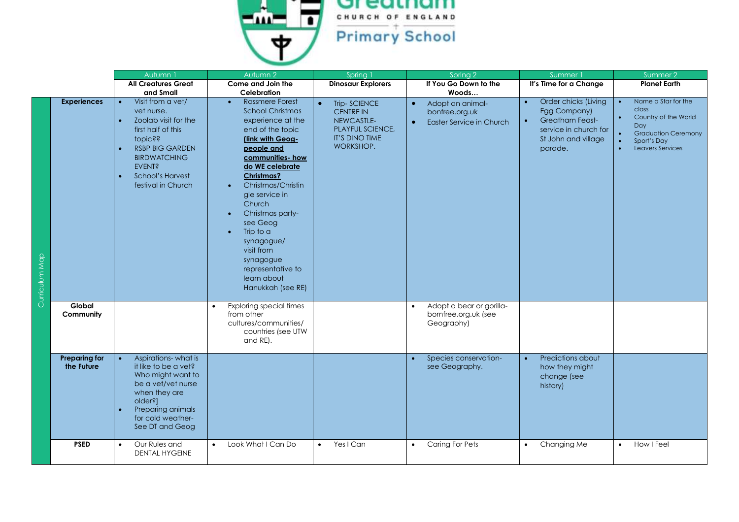

|                |                                    | Autumn 1                                                                                                                                                                                                                        | Autumn 2                                                                                                                                                                                                                                                                                                                                                                                                                               | Spring                                                                                                   | Spring 2                                                                                 | Summer 1                                                                                                                                            | Summer 2                                                                                                                     |
|----------------|------------------------------------|---------------------------------------------------------------------------------------------------------------------------------------------------------------------------------------------------------------------------------|----------------------------------------------------------------------------------------------------------------------------------------------------------------------------------------------------------------------------------------------------------------------------------------------------------------------------------------------------------------------------------------------------------------------------------------|----------------------------------------------------------------------------------------------------------|------------------------------------------------------------------------------------------|-----------------------------------------------------------------------------------------------------------------------------------------------------|------------------------------------------------------------------------------------------------------------------------------|
|                |                                    | <b>All Creatures Great</b>                                                                                                                                                                                                      | Come and Join the                                                                                                                                                                                                                                                                                                                                                                                                                      | <b>Dinosaur Explorers</b>                                                                                | If You Go Down to the                                                                    | It's Time for a Change                                                                                                                              | <b>Planet Earth</b>                                                                                                          |
|                |                                    | and Small                                                                                                                                                                                                                       | Celebration                                                                                                                                                                                                                                                                                                                                                                                                                            |                                                                                                          | Woods                                                                                    |                                                                                                                                                     |                                                                                                                              |
| Curriculum Map | <b>Experiences</b>                 | Visit from a vet/<br>vet nurse.<br>Zoolab visit for the<br>first half of this<br><b>topic??</b><br><b>RSBP BIG GARDEN</b><br><b>BIRDWATCHING</b><br><b>EVENT?</b><br><b>School's Harvest</b><br>$\bullet$<br>festival in Church | <b>Rossmere Forest</b><br>$\bullet$<br><b>School Christmas</b><br>experience at the<br>end of the topic<br>(link with Geog-<br>people and<br>communities- how<br>do WE celebrate<br>Christmas?<br>Christmas/Christin<br>$\bullet$<br>gle service in<br>Church<br>Christmas party-<br>$\bullet$<br>see Geog<br>Trip to a<br>$\bullet$<br>synagogue/<br>visit from<br>synagogue<br>representative to<br>learn about<br>Hanukkah (see RE) | Trip-SCIENCE<br><b>CENTRE IN</b><br>NEWCASTLE-<br><b>PLAYFUL SCIENCE,</b><br>IT'S DINO TIME<br>WORKSHOP. | Adopt an animal-<br>$\bullet$<br>bonfree.org.uk<br>Easter Service in Church<br>$\bullet$ | Order chicks (Living<br>$\bullet$<br>Egg Company)<br><b>Greatham Feast-</b><br>$\bullet$<br>service in church for<br>St John and village<br>parade. | Name a Star for the<br>class<br>Country of the World<br>Day<br><b>Graduation Ceremony</b><br>Sport's Day<br>Leavers Services |
|                | <b>Global</b><br>Community         |                                                                                                                                                                                                                                 | <b>Exploring special times</b><br>from other<br>cultures/communities/<br>countries (see UTW<br>and RE).                                                                                                                                                                                                                                                                                                                                |                                                                                                          | Adopt a bear or gorilla-<br>bornfree.org.uk (see<br>Geography)                           |                                                                                                                                                     |                                                                                                                              |
|                | <b>Preparing for</b><br>the Future | Aspirations-what is<br>it like to be a vet?<br>Who might want to<br>be a vet/vet nurse<br>when they are<br>older?]<br>Preparing animals<br>$\bullet$<br>for cold weather-<br>See DT and Geog                                    |                                                                                                                                                                                                                                                                                                                                                                                                                                        |                                                                                                          | Species conservation-<br>see Geography.                                                  | Predictions about<br>$\bullet$<br>how they might<br>change (see<br>history)                                                                         |                                                                                                                              |
|                | <b>PSED</b>                        | Our Rules and<br>$\bullet$<br><b>DENTAL HYGEINE</b>                                                                                                                                                                             | Look What I Can Do<br>$\bullet$                                                                                                                                                                                                                                                                                                                                                                                                        | Yes I Can<br>$\bullet$                                                                                   | <b>Caring For Pets</b><br>$\bullet$                                                      | Changing Me<br>$\bullet$                                                                                                                            | How I Feel                                                                                                                   |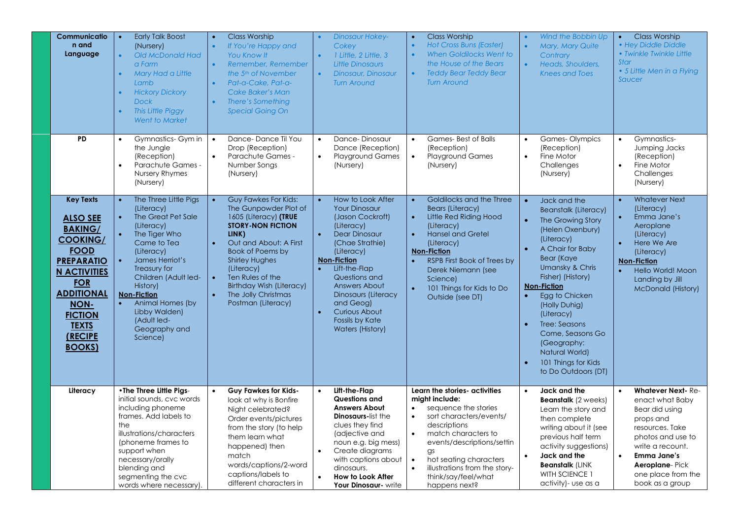| Communicatio<br>n and<br>Language                                                                                                                                                                                                             |           | <b>Early Talk Boost</b><br>(Nursery)<br>Old McDonald Had<br>a Farm<br>Mary Had a Little<br>Lamb<br><b>Hickory Dickory</b><br><b>Dock</b><br>This Little Piggy<br><b>Went to Market</b>                                                                                                              |                        | <b>Class Worship</b><br>If You're Happy and<br><b>You Know It</b><br>Remember, Remember<br>the 5 <sup>th</sup> of November<br>Pat-a-Cake, Pat-a-<br><b>Cake Baker's Man</b><br>There's Something<br><b>Special Going On</b>                                                                          |           | <b>Dinosaur Hokey-</b><br>Cokey<br>1 Little, 2 Little, 3<br><b>Little Dinosaurs</b><br>Dinosaur, Dinosaur<br><b>Turn Around</b>                                                                                                                                                                                  | $\bullet$<br>$\bullet$                                        | <b>Class Worship</b><br>Hot Cross Buns (Easter)<br>When Goldilocks Went to<br>the House of the Bears<br><b>Teddy Bear Teddy Bear</b><br><b>Turn Around</b>                                                                                                                               | $\bullet$<br>$\bullet$<br>$\bullet$                                        | Wind the Bobbin Up<br>Mary, Mary Quite<br>Contrary<br>Heads, Shoulders,<br><b>Knees and Toes</b>                                                                                                                                                                                                                                                                               | $\bullet$<br>Star                                | <b>Class Worship</b><br>• Hey Diddle Diddle<br>• Twinkle Twinkle Little<br>• 5 Little Men in a Flying<br>Saucer                                                                                                                |
|-----------------------------------------------------------------------------------------------------------------------------------------------------------------------------------------------------------------------------------------------|-----------|-----------------------------------------------------------------------------------------------------------------------------------------------------------------------------------------------------------------------------------------------------------------------------------------------------|------------------------|------------------------------------------------------------------------------------------------------------------------------------------------------------------------------------------------------------------------------------------------------------------------------------------------------|-----------|------------------------------------------------------------------------------------------------------------------------------------------------------------------------------------------------------------------------------------------------------------------------------------------------------------------|---------------------------------------------------------------|------------------------------------------------------------------------------------------------------------------------------------------------------------------------------------------------------------------------------------------------------------------------------------------|----------------------------------------------------------------------------|--------------------------------------------------------------------------------------------------------------------------------------------------------------------------------------------------------------------------------------------------------------------------------------------------------------------------------------------------------------------------------|--------------------------------------------------|--------------------------------------------------------------------------------------------------------------------------------------------------------------------------------------------------------------------------------|
| <b>PD</b>                                                                                                                                                                                                                                     | $\bullet$ | Gymnastics- Gym in<br>the Jungle<br>(Reception)<br>Parachute Games -<br>Nursery Rhymes<br>(Nursery)                                                                                                                                                                                                 | $\bullet$<br>$\bullet$ | Dance-Dance Til You<br>Drop (Reception)<br>Parachute Games -<br>Number Songs<br>(Nursery)                                                                                                                                                                                                            | $\bullet$ | Dance-Dinosaur<br>Dance (Reception)<br><b>Playground Games</b><br>(Nursery)                                                                                                                                                                                                                                      | $\bullet$<br>$\bullet$                                        | <b>Games-Best of Balls</b><br>(Reception)<br><b>Playground Games</b><br>(Nursery)                                                                                                                                                                                                        | $\bullet$<br>$\bullet$                                                     | <b>Games-Olympics</b><br>(Reception)<br>Fine Motor<br>Challenges<br>(Nursery)                                                                                                                                                                                                                                                                                                  | $\bullet$<br>$\bullet$                           | Gymnastics-<br>Jumping Jacks<br>(Reception)<br>Fine Motor<br>Challenges<br>(Nursery)                                                                                                                                           |
| <b>Key Texts</b><br><b>ALSO SEE</b><br><b>BAKING/</b><br><b>COOKING/</b><br><b>FOOD</b><br><b>PREPARATIO</b><br><b>N ACTIVITIES</b><br><b>FOR</b><br><b>ADDITIONAL</b><br>NON-<br><b>FICTION</b><br><b>TEXTS</b><br>(RECIPE<br><b>BOOKS</b> ) | $\bullet$ | The Three Little Pigs<br>(Literacy)<br>The Great Pet Sale<br>(Literacy)<br>The Tiger Who<br>Came to Tea<br>(Literacy)<br>James Herriot's<br>Treasury for<br>Children (Adult led-<br>History)<br><b>Non-Fiction</b><br>Animal Homes (by<br>Libby Walden)<br>(Adult led-<br>Geography and<br>Science) |                        | Guy Fawkes For Kids:<br>The Gunpowder Plot of<br>1605 (Literacy) (TRUE<br><b>STORY-NON FICTION</b><br>LINK)<br>Out and About: A First<br>Book of Poems by<br><b>Shirley Hughes</b><br>(Literacy)<br>Ten Rules of the<br><b>Birthday Wish (Literacy)</b><br>The Jolly Christmas<br>Postman (Literacy) |           | How to Look After<br><b>Your Dinosaur</b><br>(Jason Cockroft)<br>(Literacy)<br><b>Dear Dinosaur</b><br>(Chae Strathie)<br>(Literacy)<br><b>Non-Fiction</b><br>Lift-the-Flap<br>Questions and<br>Answers About<br>Dinosaurs (Literacy<br>and Geog)<br>Curious About<br>Fossils by Kate<br><b>Waters (History)</b> | $\bullet$<br>$\bullet$<br>$\bullet$<br>$\bullet$<br>$\bullet$ | Goldilocks and the Three<br><b>Bears (Literacy)</b><br>Little Red Riding Hood<br>(Literacy)<br><b>Hansel and Gretel</b><br>(Literacy)<br>Non-Fiction<br><b>RSPB First Book of Trees by</b><br>Derek Niemann (see<br>Science)<br>101 Things for Kids to Do<br>Outside (see DT)            | $\bullet$<br>$\bullet$<br>$\bullet$<br>$\bullet$<br>$\bullet$<br>$\bullet$ | Jack and the<br><b>Beanstalk (Literacy)</b><br>The Growing Story<br>(Helen Oxenbury)<br>(Literacy)<br>A Chair for Baby<br><b>Bear (Kaye</b><br>Umansky & Chris<br>Fisher) (History)<br><b>Non-Fiction</b><br>Egg to Chicken<br>(Holly Duhig)<br>(Literacy)<br>Tree: Seasons<br>Come, Seasons Go<br>(Geography:<br>Natural World)<br>101 Things for Kids<br>to Do Outdoors (DT) | $\bullet$<br>$\bullet$<br>$\bullet$<br>$\bullet$ | <b>Whatever Next</b><br>(Literacy)<br>Emma Jane's<br>Aeroplane<br>(Literacy)<br>Here We Are<br>(Literacy)<br><b>Non-Fiction</b><br>Hello World! Moon<br>Landing by Jill<br><b>McDonald (History)</b>                           |
| Literacy                                                                                                                                                                                                                                      | the       | •The Three Little Pigs-<br>initial sounds, cvc words<br>including phoneme<br>frames. Add labels to<br>illustrations/characters<br>(phoneme frames to<br>support when<br>necessary/orally<br>blending and<br>segmenting the cvc<br>words where necessary).                                           |                        | <b>Guy Fawkes for Kids-</b><br>look at why is Bonfire<br>Night celebrated?<br>Order events/pictures<br>from the story (to help<br>them learn what<br>happened) then<br>match<br>words/captions/2-word<br>captions/labels to<br>different characters in                                               |           | Lift-the-Flap<br>Questions and<br><b>Answers About</b><br><b>Dinosaurs-list the</b><br>clues they find<br>(adjective and<br>noun e.g. big mess)<br>Create diagrams<br>with captions about<br>dinosaurs.<br><b>How to Look After</b><br>Your Dinosaur- write                                                      | $\bullet$<br>$\bullet$                                        | Learn the stories- activities<br>might include:<br>sequence the stories<br>sort characters/events/<br>descriptions<br>match characters to<br>events/descriptions/settin<br>$\alpha$ s<br>hot seating characters<br>illustrations from the story-<br>think/say/feel/what<br>happens next? | $\bullet$<br>$\bullet$                                                     | Jack and the<br><b>Beanstalk</b> (2 weeks)<br>Learn the story and<br>then complete<br>writing about it (see<br>previous half term<br>activity suggestions)<br>Jack and the<br><b>Beanstalk (LINK</b><br>WITH SCIENCE 1<br>activity)- use as a                                                                                                                                  | $\bullet$                                        | <b>Whatever Next-Re-</b><br>enact what Baby<br>Bear did using<br>props and<br>resources. Take<br>photos and use to<br>write a recount.<br><b>Emma Jane's</b><br><b>Aeroplane-Pick</b><br>one place from the<br>book as a group |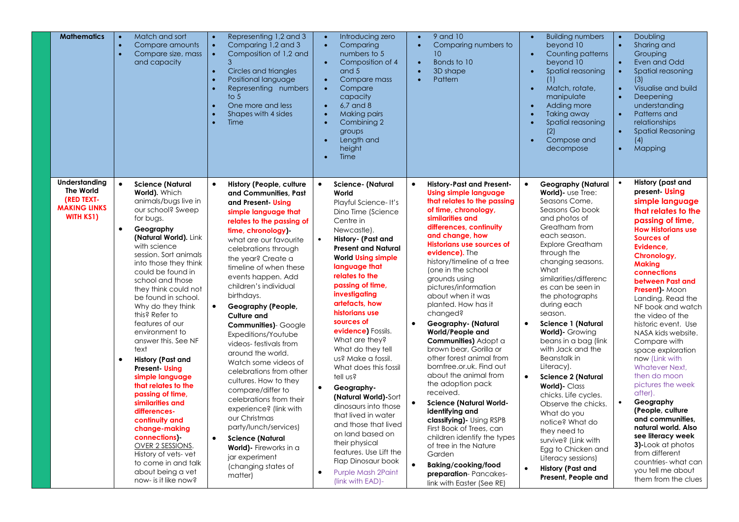| <b>Mathematics</b>                                                                         | Match and sort<br>Compare amounts<br>$\bullet$<br>$\bullet$<br>Compare size, mass<br>and capacity                                                                                                                                                                                                                                                                                                                                                                                                                                                                                                                                                                                                                                                                            | Representing 1,2 and 3<br>$\bullet$<br>Comparing 1,2 and 3<br>$\bullet$<br>Composition of 1,2 and<br>$\bullet$<br>3<br>Circles and triangles<br>$\bullet$<br>Positional language<br>$\bullet$<br>Representing numbers<br>$\bullet$<br>to $5$<br>One more and less<br>$\bullet$<br>Shapes with 4 sides<br>Time<br>$\bullet$                                                                                                                                                                                                                                                                                                                                                                                                                                                                                | Introducing zero<br>$\bullet$<br>Comparing<br>$\bullet$<br>numbers to 5<br>Composition of 4<br>and 5<br>Compare mass<br>$\bullet$<br>Compare<br>$\bullet$<br>capacity<br>$6.7$ and $8$<br>$\bullet$<br><b>Making pairs</b><br>Combining 2<br>groups<br>Length and<br>$\bullet$<br>height<br>Time                                                                                                                                                                                                                                                                                                                                                                                                                                          | 9 and 10<br>$\bullet$<br>Comparing numbers to<br>10<br>Bonds to 10<br>$\bullet$<br>3D shape<br>$\bullet$<br>Pattern                                                                                                                                                                                                                                                                                                                                                                                                                                                                                                                                                                                                                                                                                                                                                                                                                   | <b>Building numbers</b><br>$\bullet$<br>beyond 10<br>Counting patterns<br>$\bullet$<br>beyond 10<br>Spatial reasoning<br>(1)<br>Match, rotate,<br>$\bullet$<br>manipulate<br>Adding more<br>$\bullet$<br>Taking away<br>Spatial reasoning<br>(2)<br>Compose and<br>$\bullet$<br>decompose                                                                                                                                                                                                                                                                                                                                                                                                                                                        | Doubling<br>$\bullet$<br>Sharing and<br>$\bullet$<br>Grouping<br>Even and Odd<br>Spatial reasoning<br>$\bullet$<br>(3)<br>Visualise and build<br>$\bullet$<br>Deepening<br>understanding<br>Patterns and<br>relationships<br><b>Spatial Reasoning</b><br>(4)<br>Mapping<br>$\bullet$                                                                                                                                                                                                                                                                                                                                                                                                                                          |
|--------------------------------------------------------------------------------------------|------------------------------------------------------------------------------------------------------------------------------------------------------------------------------------------------------------------------------------------------------------------------------------------------------------------------------------------------------------------------------------------------------------------------------------------------------------------------------------------------------------------------------------------------------------------------------------------------------------------------------------------------------------------------------------------------------------------------------------------------------------------------------|-----------------------------------------------------------------------------------------------------------------------------------------------------------------------------------------------------------------------------------------------------------------------------------------------------------------------------------------------------------------------------------------------------------------------------------------------------------------------------------------------------------------------------------------------------------------------------------------------------------------------------------------------------------------------------------------------------------------------------------------------------------------------------------------------------------|-------------------------------------------------------------------------------------------------------------------------------------------------------------------------------------------------------------------------------------------------------------------------------------------------------------------------------------------------------------------------------------------------------------------------------------------------------------------------------------------------------------------------------------------------------------------------------------------------------------------------------------------------------------------------------------------------------------------------------------------|---------------------------------------------------------------------------------------------------------------------------------------------------------------------------------------------------------------------------------------------------------------------------------------------------------------------------------------------------------------------------------------------------------------------------------------------------------------------------------------------------------------------------------------------------------------------------------------------------------------------------------------------------------------------------------------------------------------------------------------------------------------------------------------------------------------------------------------------------------------------------------------------------------------------------------------|--------------------------------------------------------------------------------------------------------------------------------------------------------------------------------------------------------------------------------------------------------------------------------------------------------------------------------------------------------------------------------------------------------------------------------------------------------------------------------------------------------------------------------------------------------------------------------------------------------------------------------------------------------------------------------------------------------------------------------------------------|-------------------------------------------------------------------------------------------------------------------------------------------------------------------------------------------------------------------------------------------------------------------------------------------------------------------------------------------------------------------------------------------------------------------------------------------------------------------------------------------------------------------------------------------------------------------------------------------------------------------------------------------------------------------------------------------------------------------------------|
| Understanding<br><b>The World</b><br>(RED TEXT-<br><b>MAKING LINKS</b><br><b>WITH KS1)</b> | $\bullet$<br><b>Science (Natural</b><br>World). Which<br>animals/bugs live in<br>our school? Sweep<br>for bugs.<br>$\bullet$<br>Geography<br>(Natural World). Link<br>with science<br>session. Sort animals<br>into those they think<br>could be found in<br>school and those<br>they think could not<br>be found in school.<br>Why do they think<br>this? Refer to<br>features of our<br>environment to<br>answer this. See NF<br>text<br><b>History (Past and</b><br>$\bullet$<br><b>Present</b> Using<br>simple language<br>that relates to the<br>passing of time,<br>similarities and<br>differences-<br>continuity and<br>change-making<br>connections)-<br>OVER 2 SESSIONS<br>History of vets-vet<br>to come in and talk<br>about being a vet<br>now- is it like now? | History (People, culture<br>$\bullet$<br>and Communities, Past<br>and Present Using<br>simple language that<br>relates to the passing of<br>time, chronology)<br>what are our favourite<br>celebrations through<br>the year? Create a<br>timeline of when these<br>events happen. Add<br>children's individual<br>birthdays.<br>Geography (People,<br>$\bullet$<br><b>Culture and</b><br>Communities)- Google<br>Expeditions/Youtube<br>videos-festivals from<br>around the world.<br>Watch some videos of<br>celebrations from other<br>cultures. How to they<br>compare/differ to<br>celebrations from their<br>experience? (link with<br>our Christmas<br>party/lunch/services)<br>$\bullet$<br><b>Science (Natural</b><br>World) - Fireworks in a<br>jar experiment<br>(changing states of<br>matter) | <b>Science- (Natural</b><br>$\bullet$<br>World<br>Playful Science-It's<br>Dino Time (Science<br>Centre in<br>Newcastle).<br>History- (Past and<br>$\bullet$<br><b>Present and Natural</b><br><b>World Using simple</b><br>language that<br>relates to the<br>passing of time,<br>investigating<br>artefacts, how<br>historians use<br>sources of<br>evidence) Fossils.<br>What are they?<br>What do they tell<br>us? Make a fossil.<br>What does this fossil<br>tell us?<br>Geography-<br>$\bullet$<br>(Natural World)-Sort<br>dinosaurs into those<br>that lived in water<br>and those that lived<br>on land based on<br>their physical<br>features. Use Lift the<br>Flap Dinosaur book<br><b>Purple Mash 2Paint</b><br>(link with EAD)- | <b>History-Past and Present-</b><br>$\bullet$<br><b>Using simple language</b><br>that relates to the passing<br>of time, chronology,<br>similarities and<br>differences, continuity<br>and change, how<br><b>Historians use sources of</b><br>evidence). The<br>history/timeline of a tree<br>(one in the school<br>grounds using<br>pictures/information<br>about when it was<br>planted. How has it<br>changed?<br>$\bullet$<br>Geography- (Natural<br>World/People and<br>Communities) Adopt a<br>brown bear, Gorilla or<br>other forest animal from<br>bornfree.or.uk. Find out<br>about the animal from<br>the adoption pack<br>received.<br><b>Science (Natural World-</b><br>$\bullet$<br>identifying and<br>classifying) - Using RSPB<br>First Book of Trees, can<br>children identify the types<br>of tree in the Nature<br>Garden<br>$\bullet$<br>Baking/cooking/food<br>preparation-Pancakes-<br>link with Easter (See RE) | <b>Geography (Natural</b><br>World)- use Tree:<br>Seasons Come,<br>Seasons Go book<br>and photos of<br>Greatham from<br>each season.<br><b>Explore Greatham</b><br>through the<br>changing seasons.<br>What<br>similarities/differenc<br>es can be seen in<br>the photographs<br>during each<br>season.<br>$\bullet$<br><b>Science 1 (Natural</b><br><b>World)</b> - Growing<br>beans in a bag (link<br>with Jack and the<br><b>Beanstalk</b> in<br>Literacy).<br><b>Science 2 (Natural</b><br>$\bullet$<br>World)- Class<br>chicks. Life cycles.<br>Observe the chicks.<br>What do you<br>notice? What do<br>they need to<br>survive? (Link with<br>Egg to Chicken and<br>Literacy sessions)<br><b>History (Past and</b><br>Present, People and | <b>History (past and</b><br>present Using<br>simple language<br>that relates to the<br>passing of time,<br><b>How Historians use</b><br><b>Sources of</b><br>Evidence,<br>Chronology,<br><b>Making</b><br>connections<br>between Past and<br><b>Present)</b> Moon<br>Landing. Read the<br>NF book and watch<br>the video of the<br>historic event. Use<br>NASA kids website.<br>Compare with<br>space exploration<br>now (Link with<br>Whatever Next.<br>then do moon<br>pictures the week<br>after).<br>$\bullet$<br>Geography<br>(People, culture)<br>and communities,<br>natural world. Also<br>see literacy week<br>3)-Look at photos<br>from different<br>countries-what can<br>you tell me about<br>them from the clues |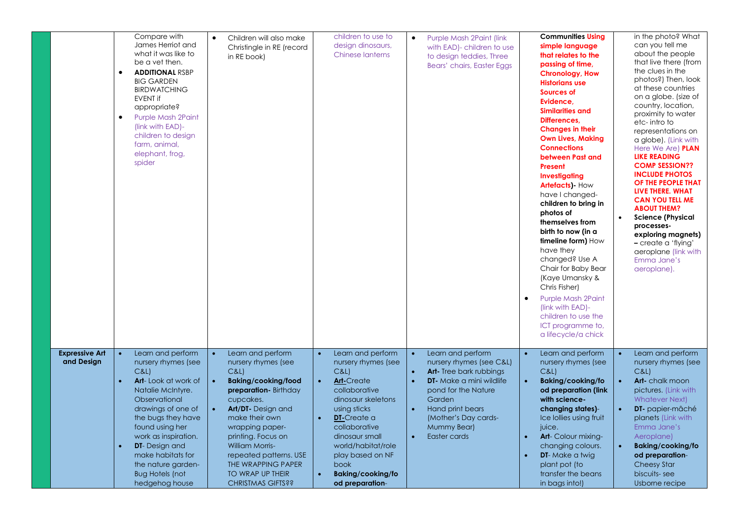|                                     | Compare with<br>James Herriot and<br>what it was like to<br>be a vet then.<br><b>ADDITIONAL RSBP</b><br>$\bullet$<br><b>BIG GARDEN</b><br><b>BIRDWATCHING</b><br><b>EVENT if</b><br>appropriate?<br><b>Purple Mash 2Paint</b><br>$\bullet$<br>(link with EAD)-<br>children to design<br>farm, animal,<br>elephant, frog,<br>spider       | Children will also make<br>$\bullet$<br>Christingle in RE (record<br>in RE book)                                                                                                                                                                                                                                                                                      | children to use to<br>design dinosaurs,<br><b>Chinese lanterns</b>                                                                                                                                                                                                                    | Purple Mash 2Paint (link<br>$\bullet$<br>with EAD)- children to use<br>to design teddies, Three<br>Bears' chairs, Easter Eggs                                                                                                                                                                         | <b>Communities Using</b><br>simple language<br>that relates to the<br>passing of time,<br><b>Chronology, How</b><br><b>Historians use</b><br>Sources of<br>Evidence.<br><b>Similarities and</b><br>Differences,<br><b>Changes in their</b><br><b>Own Lives, Making</b><br><b>Connections</b><br>between Past and<br>Present<br><b>Investigating</b><br><b>Artefacts</b> ) How<br>have I changed-<br>children to bring in<br>photos of<br>themselves from<br>birth to now (in a<br>timeline form) How<br>have they<br>changed? Use A<br>Chair for Baby Bear<br>(Kaye Umansky &<br>Chris Fisher)<br><b>Purple Mash 2Paint</b><br>(link with EAD)-<br>children to use the<br>ICT programme to,<br>a lifecycle/a chick | in the photo? What<br>can you tell me<br>about the people<br>that live there (from<br>the clues in the<br>photos?) Then, look<br>at these countries<br>on a globe. (size of<br>country, location,<br>proximity to water<br>etc-intro to<br>representations on<br>a globe). (Link with<br>Here We Are) <b>PLAN</b><br><b>LIKE READING</b><br><b>COMP SESSION??</b><br><b>INCLUDE PHOTOS</b><br>OF THE PEOPLE THAT<br>LIVE THERE. WHAT<br><b>CAN YOU TELL ME</b><br><b>ABOUT THEM?</b><br><b>Science (Physical</b><br>processes-<br>exploring magnets)<br>- create a 'flying'<br>aeroplane (link with<br>Emma Jane's<br>aeroplane). |
|-------------------------------------|------------------------------------------------------------------------------------------------------------------------------------------------------------------------------------------------------------------------------------------------------------------------------------------------------------------------------------------|-----------------------------------------------------------------------------------------------------------------------------------------------------------------------------------------------------------------------------------------------------------------------------------------------------------------------------------------------------------------------|---------------------------------------------------------------------------------------------------------------------------------------------------------------------------------------------------------------------------------------------------------------------------------------|-------------------------------------------------------------------------------------------------------------------------------------------------------------------------------------------------------------------------------------------------------------------------------------------------------|--------------------------------------------------------------------------------------------------------------------------------------------------------------------------------------------------------------------------------------------------------------------------------------------------------------------------------------------------------------------------------------------------------------------------------------------------------------------------------------------------------------------------------------------------------------------------------------------------------------------------------------------------------------------------------------------------------------------|-----------------------------------------------------------------------------------------------------------------------------------------------------------------------------------------------------------------------------------------------------------------------------------------------------------------------------------------------------------------------------------------------------------------------------------------------------------------------------------------------------------------------------------------------------------------------------------------------------------------------------------|
| <b>Expressive Art</b><br>and Design | Learn and perform<br>nursery rhymes (see<br>C&L<br><b>Art-Look at work of</b><br>$\bullet$<br>Natalie McIntyre.<br>Observational<br>drawings of one of<br>the bugs they have<br>found using her<br>work as inspiration.<br><b>DT</b> - Design and<br>make habitats for<br>the nature garden-<br><b>Bug Hotels (not</b><br>hedgehog house | Learn and perform<br>$\bullet$<br>nursery rhymes (see<br>C&L<br>Baking/cooking/food<br>$\bullet$<br>preparation- Birthday<br>cupcakes.<br><b>Art/DT-</b> Design and<br>$\bullet$<br>make their own<br>wrapping paper-<br>printing. Focus on<br><b>William Morris-</b><br>repeated patterns. USE<br>THE WRAPPING PAPER<br>TO WRAP UP THEIR<br><b>CHRISTMAS GIFTS??</b> | Learn and perform<br>nursery rhymes (see<br>C&L<br><b>Art-Create</b><br>collaborative<br>dinosaur skeletons<br>using sticks<br><b>DT-Create a</b><br>collaborative<br>dinosaur small<br>world/habitat/role<br>play based on NF<br>book<br><b>Baking/cooking/fo</b><br>od preparation- | $\bullet$<br>Learn and perform<br>nursery rhymes (see C&L)<br><b>Art-</b> Tree bark rubbings<br>$\bullet$<br>$\bullet$<br><b>DT</b> Make a mini wildlife<br>pond for the Nature<br>Garden<br>Hand print bears<br>$\bullet$<br>(Mother's Day cards-<br><b>Mummy Bear)</b><br>Easter cards<br>$\bullet$ | Learn and perform<br>nursery rhymes (see<br>C&L<br><b>Baking/cooking/fo</b><br>od preparation (link<br>with science-<br>changing states)-<br>Ice Iollies using fruit<br>juice.<br><b>Art-</b> Colour mixing-<br>$\bullet$<br>changing colours.<br><b>DT</b> -Make a twig<br>plant pot (to<br>transfer the beans<br>in bags into!)                                                                                                                                                                                                                                                                                                                                                                                  | Learn and perform<br>nursery rhymes (see<br>C&L<br>Art-chalk moon<br>pictures. (Link with<br><b>Whatever Next)</b><br>DT- papier-mâché<br>planets (Link with<br>Emma Jane's<br>Aeroplane)<br>Baking/cooking/fo<br>od preparation-<br><b>Cheesy Star</b><br>biscuits-see<br>Usborne recipe                                                                                                                                                                                                                                                                                                                                         |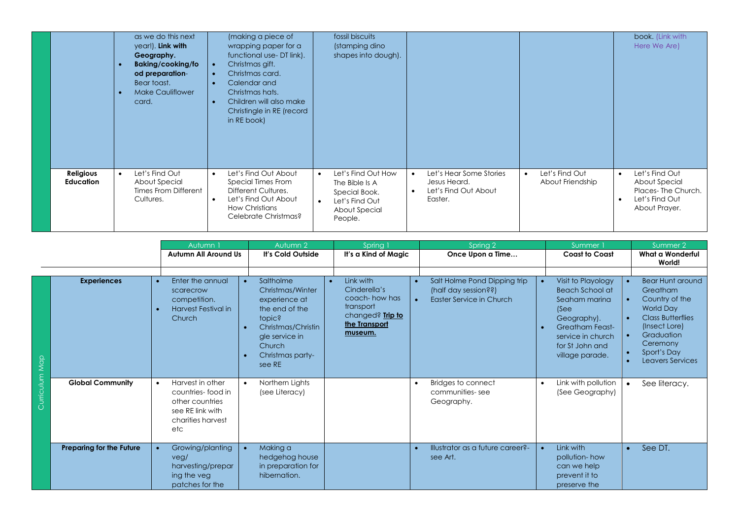|                               | as we do this next<br>year!). Link with<br>Geography.<br>Baking/cooking/fo<br>od preparation-<br>Bear toast.<br><b>Make Cauliflower</b><br>card. | (making a piece of<br>wrapping paper for a<br>functional use-DT link).<br>Christmas gift.<br>Christmas card.<br>Calendar and<br>Christmas hats.<br>Children will also make<br>Christingle in RE (record<br>in RE book) | fossil biscuits<br>(stamping dino<br>shapes into dough).                                                         |                                                                                         |                                    | book. (Link with<br>Here We Are)                                                                      |
|-------------------------------|--------------------------------------------------------------------------------------------------------------------------------------------------|------------------------------------------------------------------------------------------------------------------------------------------------------------------------------------------------------------------------|------------------------------------------------------------------------------------------------------------------|-----------------------------------------------------------------------------------------|------------------------------------|-------------------------------------------------------------------------------------------------------|
| Religious<br><b>Education</b> | Let's Find Out<br>About Special<br>Times From Different<br>Cultures.                                                                             | Let's Find Out About<br>$\bullet$<br>Special Times From<br>Different Cultures.<br>Let's Find Out About<br>$\bullet$<br><b>How Christians</b><br>Celebrate Christmas?                                                   | Let's Find Out How<br>$\bullet$<br>The Bible Is A<br>Special Book.<br>Let's Find Out<br>About Special<br>People. | Let's Hear Some Stories<br>$\bullet$<br>Jesus Heard.<br>Let's Find Out About<br>Easter. | Let's Find Out<br>About Friendship | Let's Find Out<br>$\bullet$<br>About Special<br>Places-The Church.<br>Let's Find Out<br>About Prayer. |

|                |                                 | Autumn 1                                                                                                 | Autumn 2                                                                                                                                                                | Spring 1                                                                                                 | Spring 2                                                                                                   | Summer                                                                                                                                                                          | Summer 2                                                                                                                                                                            |
|----------------|---------------------------------|----------------------------------------------------------------------------------------------------------|-------------------------------------------------------------------------------------------------------------------------------------------------------------------------|----------------------------------------------------------------------------------------------------------|------------------------------------------------------------------------------------------------------------|---------------------------------------------------------------------------------------------------------------------------------------------------------------------------------|-------------------------------------------------------------------------------------------------------------------------------------------------------------------------------------|
|                |                                 | <b>Autumn All Around Us</b>                                                                              | It's Cold Outside                                                                                                                                                       | It's a Kind of Magic                                                                                     | Once Upon a Time                                                                                           | <b>Coast to Coast</b>                                                                                                                                                           | What a Wonderful<br>World!                                                                                                                                                          |
|                |                                 |                                                                                                          |                                                                                                                                                                         |                                                                                                          |                                                                                                            |                                                                                                                                                                                 |                                                                                                                                                                                     |
|                | <b>Experiences</b>              | Enter the annual<br>scarecrow<br>competition.<br><b>Harvest Festival in</b><br>Church                    | Saltholme<br>$\bullet$<br>Christmas/Winter<br>experience at<br>the end of the<br>topic?<br>Christmas/Christin<br>gle service in<br>Church<br>Christmas party-<br>see RE | Link with<br>Cinderella's<br>coach- how has<br>transport<br>changed? Trip to<br>the Transport<br>museum. | Salt Holme Pond Dipping trip<br>$\bullet$<br>(half day session??)<br>Easter Service in Church<br>$\bullet$ | Visit to Playology<br>$\bullet$<br>Beach School at<br>Seaham marina<br>(See<br>Geography).<br><b>Greatham Feast-</b><br>service in church<br>for St John and<br>village parade. | <b>Bear Hunt around</b><br>Greatham<br>Country of the<br>World Day<br><b>Class Butterflies</b><br>(Insect Lore)<br>Graduation<br>Ceremony<br>Sport's Day<br><b>Leavers Services</b> |
| Curriculum Map | <b>Global Community</b>         | Harvest in other<br>countries-food in<br>other countries<br>see RE link with<br>charities harvest<br>etc | Northern Lights<br>$\bullet$<br>(see Literacy)                                                                                                                          |                                                                                                          | Bridges to connect<br>$\bullet$<br>communities-see<br>Geography.                                           | Link with pollution<br>$\bullet$<br>(See Geography)                                                                                                                             | See literacy.                                                                                                                                                                       |
|                | <b>Preparing for the Future</b> | Growing/planting<br>veg/<br>harvesting/prepar<br>ing the veg<br>patches for the                          | Making a<br>hedgehog house<br>in preparation for<br>hibernation.                                                                                                        |                                                                                                          | Illustrator as a future career?-<br>see Art.                                                               | Link with<br>$\bullet$<br>pollution-how<br>can we help<br>prevent it to<br>preserve the                                                                                         | See DT.                                                                                                                                                                             |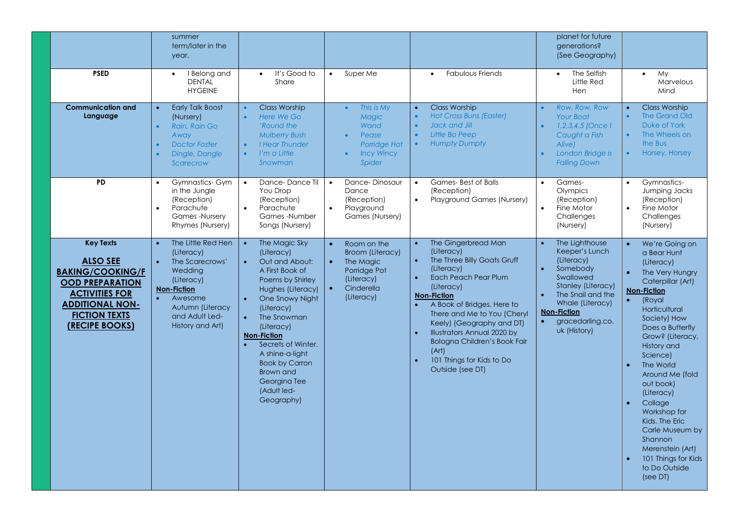|                                                                                                                                                                                       | summer<br>term/later in the<br>year.                                                                                                                                                 |                                                                                                                                                                                                                                                                                                                                                     |                                                                                                                            |                                                                                                                                                                                                                                                                                                                                                                                                                   | planet for future<br>generations?<br>(See Geography)                                                                                                                                                          |                                                                                                                                                                                                                                                                                                                                                                                                                                                    |
|---------------------------------------------------------------------------------------------------------------------------------------------------------------------------------------|--------------------------------------------------------------------------------------------------------------------------------------------------------------------------------------|-----------------------------------------------------------------------------------------------------------------------------------------------------------------------------------------------------------------------------------------------------------------------------------------------------------------------------------------------------|----------------------------------------------------------------------------------------------------------------------------|-------------------------------------------------------------------------------------------------------------------------------------------------------------------------------------------------------------------------------------------------------------------------------------------------------------------------------------------------------------------------------------------------------------------|---------------------------------------------------------------------------------------------------------------------------------------------------------------------------------------------------------------|----------------------------------------------------------------------------------------------------------------------------------------------------------------------------------------------------------------------------------------------------------------------------------------------------------------------------------------------------------------------------------------------------------------------------------------------------|
| <b>PSED</b>                                                                                                                                                                           | I Belong and<br>$\bullet$<br><b>DENTAL</b><br><b>HYGEINE</b>                                                                                                                         | It's Good to<br>$\bullet$<br>Share                                                                                                                                                                                                                                                                                                                  | Super Me<br>$\bullet$                                                                                                      | <b>Fabulous Friends</b><br>$\bullet$                                                                                                                                                                                                                                                                                                                                                                              | The Selfish<br>$\bullet$<br>Little Red<br>Hen                                                                                                                                                                 | My.<br>$\bullet$<br>Marvelous<br>Mind                                                                                                                                                                                                                                                                                                                                                                                                              |
| <b>Communication and</b><br>Language                                                                                                                                                  | <b>Early Talk Boost</b><br>$\bullet$<br>(Nursery)<br>Rain, Rain Go<br>$\bullet$<br>Away<br><b>Doctor Foster</b><br>$\bullet$<br>Dingle, Dangle<br>Scarecrow                          | <b>Class Worship</b><br>Here We Go<br>$\bullet$<br>'Round the<br><b>Mulberry Bush</b><br><b>I Hear Thunder</b><br>$\bullet$<br>I'm a Little<br>$\bullet$<br>Snowman                                                                                                                                                                                 | This is My<br>$\bullet$<br><b>Magic</b><br>Wand<br>Pease<br>Porridge Hot<br><b>Incy Wincy</b><br>Spider                    | <b>Class Worship</b><br>$\bullet$<br><b>Hot Cross Buns (Easter)</b><br>$\bullet$<br>Jack and Jill<br>$\bullet$<br>Little Bo Peep<br>$\bullet$<br><b>Humpty Dumpty</b><br>$\bullet$                                                                                                                                                                                                                                | Row, Row, Row<br>$\bullet$<br><b>Your Boat</b><br>$1, 2, 3, 4, 5$ (Once I<br>Caught a Fish<br>Alive)<br>London Bridge is<br>$\bullet$<br><b>Falling Down</b>                                                  | <b>Class Worship</b><br>The Grand Old<br>Duke of York<br>The Wheels on<br>$\bullet$<br>the Bus<br>Horsey, Horsey<br>$\bullet$ .                                                                                                                                                                                                                                                                                                                    |
| <b>PD</b>                                                                                                                                                                             | Gymnastics-Gym<br>in the Jungle<br>(Reception)<br>Parachute<br><b>Games -Nurserv</b><br>Rhymes (Nursery)                                                                             | Dance-Dance Til<br>$\bullet$<br>You Drop<br>(Reception)<br>Parachute<br>$\bullet$<br>Games-Number<br>Songs (Nursery)                                                                                                                                                                                                                                | Dance-Dinosaur<br>$\bullet$<br>Dance<br>(Reception)<br>Playground<br>$\bullet$<br>Games (Nursery)                          | Games-Best of Balls<br>$\bullet$<br>(Reception)<br>Playground Games (Nursery)<br>$\bullet$                                                                                                                                                                                                                                                                                                                        | Games-<br>$\bullet$<br>Olympics<br>(Reception)<br>Fine Motor<br>$\bullet$<br>Challenges<br>(Nursery)                                                                                                          | Gymnastics-<br>Jumping Jacks<br>(Reception)<br>Fine Motor<br>Challenges<br>(Nursery)                                                                                                                                                                                                                                                                                                                                                               |
| <b>Key Texts</b><br><b>ALSO SEE</b><br><b>BAKING/COOKING/F</b><br><b>OOD PREPARATION</b><br><b>ACTIVITIES FOR</b><br><b>ADDITIONAL NON-</b><br><b>FICTION TEXTS</b><br>(RECIPE BOOKS) | The Little Red Hen<br>$\bullet$<br>(Literacy)<br>The Scarecrows'<br>Wedding<br>(Literacy)<br><b>Non-Fiction</b><br>Awesome<br>Autumn (Literacy<br>and Adult Led-<br>History and Art) | The Magic Sky<br>$\bullet$<br>(Literacy)<br>Out and About:<br>$\bullet$<br>A First Book of<br>Poems by Shirley<br>Hughes (Literacy)<br>One Snowy Night<br>(Literacy)<br>The Snowman<br>(Literacy)<br><b>Non-Fiction</b><br>Secrets of Winter.<br>A shine-a-light<br><b>Book by Carron</b><br>Brown and<br>Georgina Tee<br>(Adult led-<br>Geography) | Room on the<br>$\bullet$<br><b>Broom (Literacy)</b><br>The Magic<br>Porridge Pot<br>(Literacy)<br>Cinderella<br>(Literacy) | The Gingerbread Man<br>$\bullet$<br>(Literacy)<br>The Three Billy Goats Gruff<br>$\bullet$<br>(Literacy)<br>Each Peach Pear Plum<br>$\bullet$<br>(Literacy)<br><b>Non-Fiction</b><br>A Book of Bridges. Here to<br>There and Me to You (Cheryl<br>Keely) (Geography and DT)<br>Illustrators Annual 2020 by<br>$\bullet$<br>Bologna Children's Book Fair<br>(Art)<br>101 Things for Kids to Do<br>Outside (see DT) | The Lighthouse<br>Keeper's Lunch<br>(Literacy)<br>Somebody<br>Swallowed<br>Stanley (Literacy)<br>The Snail and the<br>Whale (Literacy)<br><b>Non-Fiction</b><br>gracedarling.co.<br>$\bullet$<br>uk (History) | We're Going on<br>a Bear Hunt<br>(Literacy)<br>The Very Hungry<br>Caterpillar (Art)<br><b>Non-Fiction</b><br>(Royal<br>$\bullet$<br>Horticultural<br>Society) How<br>Does a Butterfly<br>Grow? (Literacy,<br>History and<br>Science)<br>The World<br>Around Me (fold<br>out book)<br>(Literacy)<br>Collage<br>Workshop for<br>Kids. The Eric<br>Carle Museum by<br>Shannon<br>Merenstein (Art)<br>101 Things for Kids<br>to Do Outside<br>(see DT) |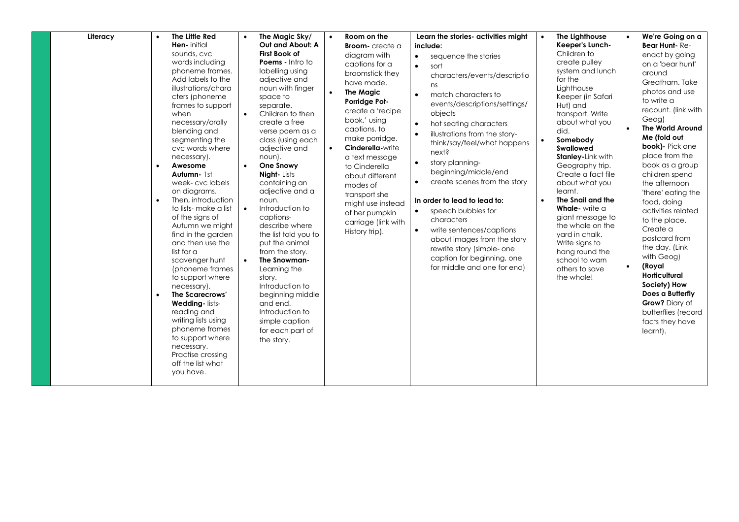| Literacy | $\bullet$ | The Little Red                                                                                                                                                                                                                                                                                                                                                                                                                                                                                                                                                                                                                                                                                                      | $\bullet$ | The Magic Sky/                                                                                                                                                                                                                                                                                                                                                                                                                                                                                                                                                                                       | $\bullet$              | Room on the                                                                                                                                                                                                                                                                                                                                                       |                                                                                                      | Learn the stories- activities might                                                                                                                                                                                                                                                                                                                                                                                                                                                                                                           | $\bullet$              | The Lighthouse                                                                                                                                                                                                                                                                                                                                                                                                                                                            | We're Going on a                                                                                                                                                                                                                                                                                                                                                                                                                                                                                                                                            |
|----------|-----------|---------------------------------------------------------------------------------------------------------------------------------------------------------------------------------------------------------------------------------------------------------------------------------------------------------------------------------------------------------------------------------------------------------------------------------------------------------------------------------------------------------------------------------------------------------------------------------------------------------------------------------------------------------------------------------------------------------------------|-----------|------------------------------------------------------------------------------------------------------------------------------------------------------------------------------------------------------------------------------------------------------------------------------------------------------------------------------------------------------------------------------------------------------------------------------------------------------------------------------------------------------------------------------------------------------------------------------------------------------|------------------------|-------------------------------------------------------------------------------------------------------------------------------------------------------------------------------------------------------------------------------------------------------------------------------------------------------------------------------------------------------------------|------------------------------------------------------------------------------------------------------|-----------------------------------------------------------------------------------------------------------------------------------------------------------------------------------------------------------------------------------------------------------------------------------------------------------------------------------------------------------------------------------------------------------------------------------------------------------------------------------------------------------------------------------------------|------------------------|---------------------------------------------------------------------------------------------------------------------------------------------------------------------------------------------------------------------------------------------------------------------------------------------------------------------------------------------------------------------------------------------------------------------------------------------------------------------------|-------------------------------------------------------------------------------------------------------------------------------------------------------------------------------------------------------------------------------------------------------------------------------------------------------------------------------------------------------------------------------------------------------------------------------------------------------------------------------------------------------------------------------------------------------------|
|          |           | Hen- initial                                                                                                                                                                                                                                                                                                                                                                                                                                                                                                                                                                                                                                                                                                        |           | Out and About: A                                                                                                                                                                                                                                                                                                                                                                                                                                                                                                                                                                                     |                        | <b>Broom-</b> create a                                                                                                                                                                                                                                                                                                                                            |                                                                                                      | include:                                                                                                                                                                                                                                                                                                                                                                                                                                                                                                                                      |                        | Keeper's Lunch-                                                                                                                                                                                                                                                                                                                                                                                                                                                           | Bear Hunt-Re-                                                                                                                                                                                                                                                                                                                                                                                                                                                                                                                                               |
|          | $\bullet$ | sounds, cvc<br>words including<br>phoneme frames.<br>Add labels to the<br>illustrations/chara<br>cters (phoneme<br>frames to support<br>when<br>necessary/orally<br>blending and<br>segmenting the<br>cvc words where<br>necessary).<br>Awesome<br>Autumn- 1st<br>week-cvc labels<br>on diagrams.<br>Then, introduction<br>to lists- make a list<br>of the signs of<br>Autumn we might<br>find in the garden<br>and then use the<br>list for $\alpha$<br>scavenger hunt<br>(phoneme frames<br>to support where<br>necessary).<br>The Scarecrows'<br>Wedding-lists-<br>reading and<br>writing lists using<br>phoneme frames<br>to support where<br>necessary.<br>Practise crossing<br>off the list what<br>you have. | $\bullet$ | <b>First Book of</b><br>Poems - Intro to<br>labelling using<br>adjective and<br>noun with finger<br>space to<br>separate.<br>Children to then<br>create a free<br>verse poem as a<br>class (using each<br>adjective and<br>noun).<br>One Snowy<br><b>Night-Lists</b><br>containing an<br>adjective and a<br>noun.<br>Introduction to<br>captions-<br>describe where<br>the list told you to<br>put the animal<br>from the story.<br>The Snowman-<br>Learning the<br>story.<br>Introduction to<br>beginning middle<br>and end.<br>Introduction to<br>simple caption<br>for each part of<br>the story. | $\bullet$<br>$\bullet$ | diagram with<br>captions for a<br>broomstick they<br>have made.<br><b>The Magic</b><br>Porridge Pot-<br>create a 'recipe<br>book,' using<br>captions, to<br>make porridge.<br>Cinderella-write<br>a text message<br>to Cinderella<br>about different<br>modes of<br>transport she<br>might use instead<br>of her pumpkin<br>carriage (link with<br>History trip). | $\bullet$<br>$\bullet$<br>$\bullet$<br>$\bullet$<br>$\bullet$<br>$\bullet$<br>$\bullet$<br>$\bullet$ | sequence the stories<br>sort<br>characters/events/descriptio<br>ns<br>match characters to<br>events/descriptions/settings/<br>objects<br>hot seating characters<br>illustrations from the story-<br>think/say/feel/what happens<br>next?<br>story planning-<br>beginning/middle/end<br>create scenes from the story<br>In order to lead to lead to:<br>speech bubbles for<br>characters<br>write sentences/captions<br>about images from the story<br>rewrite story (simple- one<br>caption for beginning, one<br>for middle and one for end) | $\bullet$<br>$\bullet$ | Children to<br>create pulley<br>system and lunch<br>for the<br>Lighthouse<br>Keeper (in Safari<br>Hut) and<br>transport. Write<br>about what you<br>did.<br>Somebody<br>Swallowed<br><b>Stanley-Link with</b><br>Geography trip.<br>Create a fact file<br>about what you<br>learnt.<br>The Snail and the<br>Whale-write a<br>giant message to<br>the whale on the<br>yard in chalk.<br>Write signs to<br>hang round the<br>school to warn<br>others to save<br>the whale! | enact by going<br>on a 'bear hunt'<br>around<br>Greatham. Take<br>photos and use<br>to write a<br>recount. (link with<br>Geog)<br><b>The World Around</b><br>Me (fold out<br>book)- Pick one<br>place from the<br>book as a group<br>children spend<br>the afternoon<br>'there' eating the<br>food, doing<br>activities related<br>to the place.<br>Create a<br>postcard from<br>the day. (Link<br>with Geog)<br>(Royal<br><b>Horticultural</b><br>Society) How<br>Does a Butterfly<br>Grow? Diary of<br>butterflies (record<br>facts they have<br>learnt). |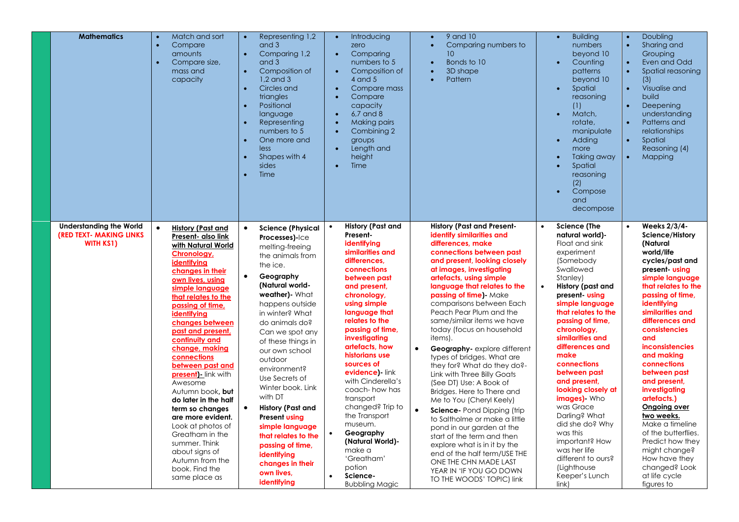| <b>Mathematics</b>                                                                    | Representing 1,2<br>Match and sort<br>$\bullet$<br>$\bullet$<br>and 3<br>$\bullet$<br>Compare<br>amounts<br>$\bullet$<br>Comparing 1,2<br>Compare size,<br>and 3<br>mass and<br>Composition of<br>$\bullet$<br>$1.2$ and $3$<br>capacity<br>Circles and<br>$\bullet$<br>triangles<br>Positional<br>$\bullet$<br>language<br>Representing<br>$\bullet$<br>numbers to 5<br>One more and<br>$\bullet$<br>less<br>Shapes with 4<br>$\bullet$<br>sides<br>Time<br>$\bullet$                                                                                                                                                                                                                                                                                                                                                                                                                                                                                                                                                                                                                                                                                                    | Introducing<br>$\bullet$<br>zero<br>Comparing<br>$\bullet$<br>numbers to 5<br>Composition of<br>$\bullet$<br>$4$ and $5$<br>Compare mass<br>$\bullet$<br>Compare<br>$\bullet$<br>capacity<br>6,7 and 8<br>$\bullet$<br>Making pairs<br>Combining 2<br>$\bullet$<br>groups<br>Length and<br>$\bullet$<br>height<br>Time<br>$\bullet$                                                                                                                                                                                                                     | 9 and 10<br>$\bullet$<br>Comparing numbers to<br>10<br>Bonds to 10<br>3D shape<br>$\bullet$<br>Pattern                                                                                                                                                                                                                                                                                                                                                                                                                                                                                                                                                                                                                                                                                                                                                                                                             | <b>Building</b><br>$\bullet$<br>numbers<br>beyond 10<br>Counting<br>$\bullet$<br>patterns<br>beyond 10<br>Spatial<br>$\bullet$<br>reasoning<br>(1)<br>Match,<br>$\bullet$<br>rotate,<br>manipulate<br>Adding<br>$\bullet$<br>more<br>Taking away<br>Spatial<br>reasoning<br>(2)<br>Compose<br>$\bullet$<br>and<br>decompose                                                                                                                                                                                                                                         | Doubling<br>$\bullet$<br>$\bullet$<br>Sharing and<br>Grouping<br>Even and Odd<br>$\bullet$<br>$\bullet$<br>Spatial reasoning<br>(3)<br>Visualise and<br>$\bullet$<br>build<br>Deepening<br>$\bullet$<br>understanding<br>Patterns and<br>$\bullet$<br>relationships<br>$\bullet$<br>Spatial<br>Reasoning (4)<br>$\bullet$<br>Mapping                                                                                                                                                                                                                        |
|---------------------------------------------------------------------------------------|---------------------------------------------------------------------------------------------------------------------------------------------------------------------------------------------------------------------------------------------------------------------------------------------------------------------------------------------------------------------------------------------------------------------------------------------------------------------------------------------------------------------------------------------------------------------------------------------------------------------------------------------------------------------------------------------------------------------------------------------------------------------------------------------------------------------------------------------------------------------------------------------------------------------------------------------------------------------------------------------------------------------------------------------------------------------------------------------------------------------------------------------------------------------------|---------------------------------------------------------------------------------------------------------------------------------------------------------------------------------------------------------------------------------------------------------------------------------------------------------------------------------------------------------------------------------------------------------------------------------------------------------------------------------------------------------------------------------------------------------|--------------------------------------------------------------------------------------------------------------------------------------------------------------------------------------------------------------------------------------------------------------------------------------------------------------------------------------------------------------------------------------------------------------------------------------------------------------------------------------------------------------------------------------------------------------------------------------------------------------------------------------------------------------------------------------------------------------------------------------------------------------------------------------------------------------------------------------------------------------------------------------------------------------------|---------------------------------------------------------------------------------------------------------------------------------------------------------------------------------------------------------------------------------------------------------------------------------------------------------------------------------------------------------------------------------------------------------------------------------------------------------------------------------------------------------------------------------------------------------------------|-------------------------------------------------------------------------------------------------------------------------------------------------------------------------------------------------------------------------------------------------------------------------------------------------------------------------------------------------------------------------------------------------------------------------------------------------------------------------------------------------------------------------------------------------------------|
| <b>Understanding the World</b><br><b>(RED TEXT- MAKING LINKS)</b><br><b>WITH KS1)</b> | $\bullet$<br>History (Past and<br>$\bullet$<br><b>Science (Physical</b><br>Present- also link<br>Processes)-Ice<br>with Natural World<br>melting-freeing<br>Chronology,<br>the animals from<br>identifying<br>the ice.<br>changes in their<br>$\bullet$<br>Geography<br>own lives, using<br>(Natural world-<br>simple language<br>weather)- What<br>that relates to the<br>happens outside<br>passing of time,<br>in winter? What<br>identifying<br>changes between<br>do animals do?<br>past and present,<br>Can we spot any<br>continuity and<br>of these things in<br>change, making<br>our own school<br>connections<br>outdoor<br>between past and<br>environment?<br>present) - link with<br>Use Secrets of<br>Awesome<br>Winter book. Link<br>Autumn book, but<br>with DT<br>do later in the half<br>$\bullet$<br>History (Past and<br>term so changes<br>are more evident.<br><b>Present using</b><br>Look at photos of<br>simple language<br>Greatham in the<br>that relates to the<br>summer. Think<br>passing of time,<br>about signs of<br>identifying<br>Autumn from the<br>changes in their<br>book. Find the<br>own lives,<br>same place as<br>identifying | <b>History (Past and</b><br>Present-<br>identifying<br>similarities and<br>differences.<br>connections<br>between past<br>and present,<br>chronology,<br>using simple<br>language that<br>relates to the<br>passing of time.<br>investigating<br>artefacts, how<br>historians use<br>sources of<br>evidence)-link<br>with Cinderella's<br>coach- how has<br>transport<br>changed? Trip to<br>the Transport<br>museum.<br>Geography<br>$\bullet$<br>(Natural World)-<br>make a<br>'Greatham'<br>potion<br>Science-<br>$\bullet$<br><b>Bubbling Magic</b> | <b>History (Past and Present-</b><br>identify similarities and<br>differences, make<br>connections between past<br>and present, looking closely<br>at images, investigating<br>artefacts, using simple<br>language that relates to the<br>passing of time) Make<br>comparisons between Each<br>Peach Pear Plum and the<br>same/similar items we have<br>today (focus on household<br>items).<br>Geography-explore different<br>$\bullet$<br>types of bridges. What are<br>they for? What do they do?-<br>Link with Three Billy Goats<br>(See DT) Use: A Book of<br>Bridges. Here to There and<br>Me to You (Cheryl Keely)<br>$\bullet$<br>Science- Pond Dipping (trip<br>to Saltholme or make a little<br>pond in our garden at the<br>start of the term and then<br>explore what is in it by the<br>end of the half term/USE THE<br>ONE THE CHN MADE LAST<br>YEAR IN 'IF YOU GO DOWN<br>TO THE WOODS' TOPIC) link | <b>Science (The</b><br>$\bullet$<br>natural world)-<br>Float and sink<br>experiment<br>(Somebody)<br>Swallowed<br>Stanley)<br>History (past and<br>$\bullet$<br>present using<br>simple language<br>that relates to the<br>passing of time,<br>chronology,<br>similarities and<br>differences and<br>make<br>connections<br>between past<br>and present,<br>looking closely at<br><b>images)</b> Who<br>was Grace<br>Darling? What<br>did she do? Why<br>was this<br>important? How<br>was her life<br>different to ours?<br>(Lighthouse<br>Keeper's Lunch<br>link) | Weeks 2/3/4-<br>$\bullet$<br>Science/History<br>(Natural<br>world/life<br>cycles/past and<br>present-using<br>simple language<br>that relates to the<br>passing of time,<br>identifying<br>similarities and<br>differences and<br>consistencies<br>and<br><i>inconsistencies</i><br>and making<br>connections<br>between past<br>and present,<br>investigating<br>artefacts.)<br>Ongoing over<br>two weeks.<br>Make a timeline<br>of the butterflies.<br>Predict how they<br>might change?<br>How have they<br>changed? Look<br>at life cycle<br>figures to |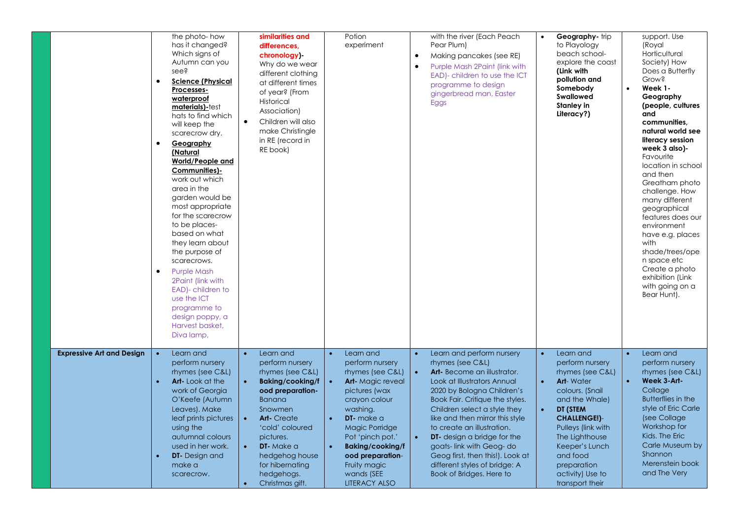|                                  | the photo-how<br>has it changed?<br>Which signs of<br>Autumn can you<br>see?<br><b>Science (Physical</b><br>$\bullet$<br>Processes-<br>waterproof<br>materials)-test<br>hats to find which<br>will keep the<br>scarecrow dry.<br>Geography<br>$\bullet$<br>(Natural<br>World/People and<br>Communities)-<br>work out which<br>area in the<br>garden would be<br>most appropriate<br>for the scarecrow<br>to be places-<br>based on what<br>they learn about<br>the purpose of<br>scarecrows.<br><b>Purple Mash</b><br>$\bullet$<br>2Paint (link with<br>EAD)- children to<br>use the ICT<br>programme to<br>design poppy, a<br>Harvest basket,<br>Diva lamp, | similarities and<br>differences.<br>chronology)-<br>Why do we wear<br>different clothing<br>at different times<br>of year? (From<br>Historical<br>Association)<br>Children will also<br>$\bullet$<br>make Christingle<br>in RE (record in<br>RE book)                                                                    | Potion<br>experiment                                                                                                                                                                                                                                                                                          | with the river (Each Peach<br>Pear Plum)<br>Making pancakes (see RE)<br>$\bullet$<br>Purple Mash 2Paint (link with<br>$\bullet$<br>EAD)- children to use the ICT<br>programme to design<br>gingerbread man, Easter<br>Eggs                                                                                                                                                                                                                                                | Geography- trip<br>$\bullet$<br>to Playology<br>beach school-<br>explore the coast<br>(Link with<br>pollution and<br>Somebody<br>Swallowed<br><b>Stanley in</b><br>Literacy?)                                                                                                                                    | support. Use<br>(Royal<br>Horticultural<br>Society) How<br>Does a Butterfly<br><b>Grow?</b><br>$\bullet$<br>Week 1-<br>Geography<br>(people, cultures<br>and<br>communities.<br>natural world see<br>literacy session<br>week 3 also)-<br>Favourite<br>location in school<br>and then<br>Greatham photo<br>challenge. How<br>many different<br>geographical<br>features does our<br>environment<br>have e.g. places<br>with<br>shade/trees/ope<br>n space etc<br>Create a photo<br>exhibition (Link<br>with going on a<br>Bear Hunt). |
|----------------------------------|--------------------------------------------------------------------------------------------------------------------------------------------------------------------------------------------------------------------------------------------------------------------------------------------------------------------------------------------------------------------------------------------------------------------------------------------------------------------------------------------------------------------------------------------------------------------------------------------------------------------------------------------------------------|--------------------------------------------------------------------------------------------------------------------------------------------------------------------------------------------------------------------------------------------------------------------------------------------------------------------------|---------------------------------------------------------------------------------------------------------------------------------------------------------------------------------------------------------------------------------------------------------------------------------------------------------------|---------------------------------------------------------------------------------------------------------------------------------------------------------------------------------------------------------------------------------------------------------------------------------------------------------------------------------------------------------------------------------------------------------------------------------------------------------------------------|------------------------------------------------------------------------------------------------------------------------------------------------------------------------------------------------------------------------------------------------------------------------------------------------------------------|---------------------------------------------------------------------------------------------------------------------------------------------------------------------------------------------------------------------------------------------------------------------------------------------------------------------------------------------------------------------------------------------------------------------------------------------------------------------------------------------------------------------------------------|
| <b>Expressive Art and Design</b> | Learn and<br>$\bullet$<br>perform nursery<br>rhymes (see C&L)<br><b>Art-Look at the</b><br>work of Georgia<br>O'Keefe (Autumn<br>Leaves). Make<br>leaf prints pictures<br>using the<br>autumnal colours<br>used in her work.<br><b>DT-</b> Design and<br>make a<br>scarecrow.                                                                                                                                                                                                                                                                                                                                                                                | Learn and<br>$\bullet$<br>perform nursery<br>rhymes (see C&L)<br><b>Baking/cooking/f</b><br>$\bullet$<br>ood preparation-<br><b>Banana</b><br>Snowmen<br><b>Art-</b> Create<br>$\bullet$<br>'cold' coloured<br>pictures.<br>DT-Make a<br>$\bullet$<br>hedgehog house<br>for hibernating<br>hedgehogs.<br>Christmas gift. | Learn and<br>perform nursery<br>rhymes (see C&L)<br><b>Art-</b> Magic reveal<br>$\bullet$<br>pictures (wax<br>crayon colour<br>washing.<br>DT- make a<br>$\bullet$<br>Magic Porridge<br>Pot 'pinch pot.'<br><b>Baking/cooking/f</b><br>ood preparation-<br>Fruity magic<br>wands (SEE<br><b>LITERACY ALSO</b> | Learn and perform nursery<br>rhymes (see C&L)<br>Art-Become an illustrator.<br>$\bullet$<br>Look at Illustrators Annual<br>2020 by Bologna Children's<br>Book Fair. Critique the styles.<br>Children select a style they<br>like and then mirror this style<br>to create an illustration.<br><b>DT</b> - design a bridge for the<br>$\bullet$<br>goats-link with Geog-do<br>Geog first, then this!). Look at<br>different styles of bridge: A<br>Book of Bridges. Here to | Learn and<br>$\bullet$<br>perform nursery<br>rhymes (see C&L)<br><b>Art-</b> Water<br>$\bullet$<br>colours. (Snail<br>and the Whale)<br>DT (STEM<br>$\bullet$<br><b>CHALLENGE!)-</b><br>Pulleys (link with<br>The Lighthouse<br>Keeper's Lunch<br>and food<br>preparation<br>activity) Use to<br>transport their | Learn and<br>$\bullet$<br>perform nursery<br>rhymes (see C&L)<br>Week 3-Art-<br>$\bullet$<br>Collage<br><b>Butterflies in the</b><br>style of Eric Carle<br>(see Collage)<br>Workshop for<br>Kids. The Eric<br>Carle Museum by<br>Shannon<br>Merenstein book<br>and The Very                                                                                                                                                                                                                                                          |